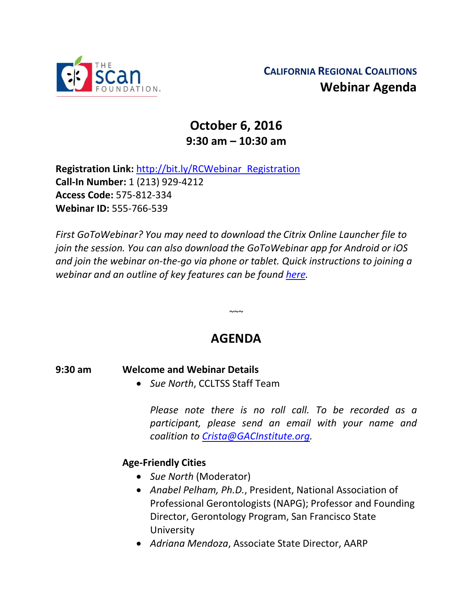

# **October 6, 2016 9:30 am – 10:30 am**

**Registration Link:** [http://bit.ly/RCWebinar\\_Registration](http://bit.ly/RCWebinar_Registration) **Call-In Number:** 1 (213) 929-4212 **Access Code:** 575-812-334 **Webinar ID:** 555-766-539

*First GoToWebinar? You may need to download the Citrix Online Launcher file to join the session. You can also download the GoToWebinar app for Android or iOS and join the webinar on-the-go via phone or tablet. Quick instructions to joining a webinar and an outline of key features can be found [here.](http://thescanfoundationsummit.homestead.com/GoToWebinar_Participant_Guide.pdf)*

## **AGENDA**

 $\sim$   $\sim$ 

#### **9:30 am Welcome and Webinar Details**

*Sue North*, CCLTSS Staff Team

*Please note there is no roll call. To be recorded as a participant, please send an email with your name and coalition to [Crista@GACInstitute.org.](mailto:Crista@GACInstitute.org?subject=Regional%20Coalition%20October%20Webinar%20-%20Please%20Add%20to%20Attendee%20List)* 

### **Age-Friendly Cities**

- *Sue North* (Moderator)
- *Anabel Pelham, Ph.D.*, President, National Association of Professional Gerontologists (NAPG); Professor and Founding Director, Gerontology Program, San Francisco State University
- *Adriana Mendoza*, Associate State Director, AARP